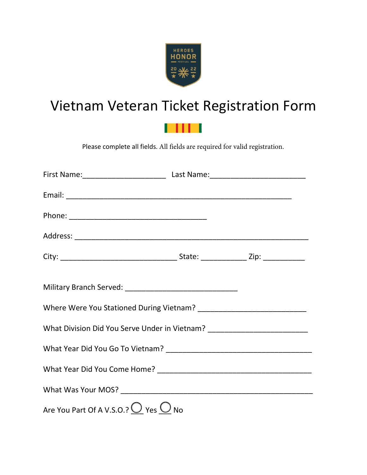

## Vietnam Veteran Ticket Registration Form



Please complete all fields. All fields are required for valid registration.

| What Division Did You Serve Under in Vietnam? __________________________________ |  |  |  |
|----------------------------------------------------------------------------------|--|--|--|
|                                                                                  |  |  |  |
|                                                                                  |  |  |  |
|                                                                                  |  |  |  |
| Are You Part Of A V.S.O.? $\bigcirc$ Yes $\bigcirc$ No                           |  |  |  |